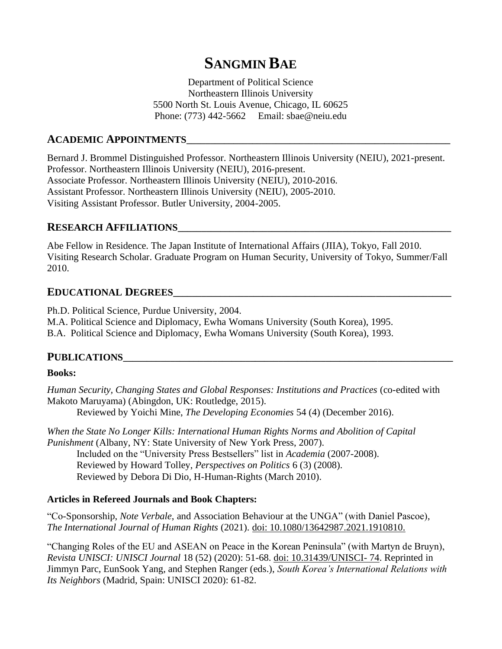# **SANGMIN BAE**

Department of Political Science Northeastern Illinois University 5500 North St. Louis Avenue, Chicago, IL 60625 Phone: (773) 442-5662 Email: sbae@neiu.edu

### **ACADEMIC APPOINTMENTS\_\_\_\_\_\_\_\_\_\_\_\_\_\_\_\_\_\_\_\_\_\_\_\_\_\_\_\_\_\_\_\_\_\_\_\_\_\_\_\_\_\_\_\_\_\_\_\_\_\_\_\_\_\_\_\_**

Bernard J. Brommel Distinguished Professor. Northeastern Illinois University (NEIU), 2021-present. Professor. Northeastern Illinois University (NEIU), 2016-present. Associate Professor. Northeastern Illinois University (NEIU), 2010-2016. Assistant Professor. Northeastern Illinois University (NEIU), 2005-2010. Visiting Assistant Professor. Butler University, 2004-2005.

# **RESEARCH AFFILIATIONS\_\_\_\_\_\_\_\_\_\_\_\_\_\_\_\_\_\_\_\_\_\_\_\_\_\_\_\_\_\_\_\_\_\_\_\_\_\_\_\_\_\_\_\_\_\_\_\_\_\_\_\_\_\_\_\_\_\_**

Abe Fellow in Residence. The Japan Institute of International Affairs (JIIA), Tokyo, Fall 2010. Visiting Research Scholar. Graduate Program on Human Security, University of Tokyo, Summer/Fall 2010.

# **EDUCATIONAL DEGREES\_\_\_\_\_\_\_\_\_\_\_\_\_\_\_\_\_\_\_\_\_\_\_\_\_\_\_\_\_\_\_\_\_\_\_\_\_\_\_\_\_\_\_\_\_\_\_\_\_\_\_\_\_\_\_\_\_\_\_**

Ph.D. Political Science, Purdue University, 2004. M.A. Political Science and Diplomacy, Ewha Womans University (South Korea), 1995. B.A. Political Science and Diplomacy, Ewha Womans University (South Korea), 1993.

#### **PUBLICATIONS\_\_\_\_\_\_\_\_\_\_\_\_\_\_\_\_\_\_\_\_\_\_\_\_\_\_\_\_\_\_\_\_\_\_\_\_\_\_\_\_\_\_\_\_\_\_\_\_\_\_\_\_\_\_\_\_\_\_\_\_\_\_\_\_\_\_\_\_\_\_**

#### **Books:**

*Human Security, Changing States and Global Responses: Institutions and Practices* (co-edited with Makoto Maruyama) (Abingdon, UK: Routledge, 2015).

Reviewed by Yoichi Mine, *The Developing Economies* 54 (4) (December 2016).

*When the State No Longer Kills: International Human Rights Norms and Abolition of Capital Punishment* (Albany, NY: State University of New York Press, 2007). Included on the "University Press Bestsellers" list in *Academia* (2007-2008). Reviewed by Howard Tolley, *Perspectives on Politics* 6 (3) (2008). Reviewed by Debora Di Dio, H-Human-Rights (March 2010).

#### **Articles in Refereed Journals and Book Chapters:**

"Co-Sponsorship, *Note Verbale*, and Association Behaviour at the UNGA" (with Daniel Pascoe), *The International Journal of Human Rights* (2021). [doi: 10.1080/13642987.2021.1910810.](https://www.tandfonline.com/doi/abs/10.1080/13642987.2021.1910810?journalCode=fjhr20)

"Changing Roles of the EU and ASEAN on Peace in the Korean Peninsula" (with Martyn de Bruyn), *Revista UNISCI: UNISCI Journal* 18 (52) (2020): 51-68. [doi: 10.31439/UNISCI-](https://www.readcube.com/articles/10.31439%2Funisci-74) 74. Reprinted in Jimmyn Parc, EunSook Yang, and Stephen Ranger (eds.), *South Korea's International Relations with Its Neighbors* (Madrid, Spain: UNISCI 2020): 61-82.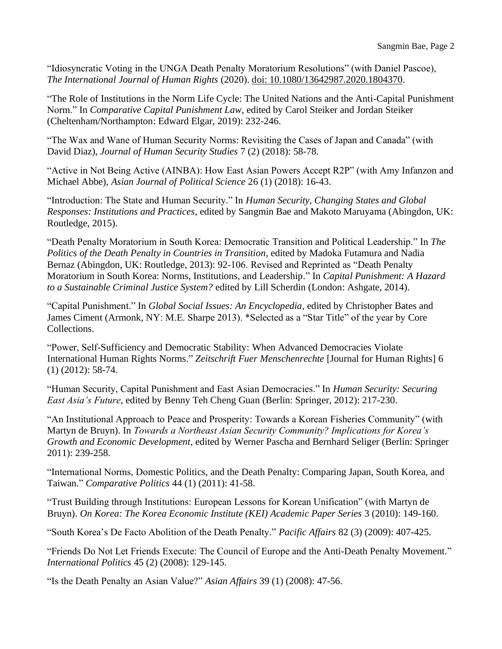"Idiosyncratic Voting in the UNGA Death Penalty Moratorium Resolutions" (with Daniel Pascoe), *The International Journal of Human Rights* (2020). [doi: 10.1080/13642987.2020.1804370.](https://doi.org/10.1080/13642987.2020.1804370)

"The Role of Institutions in the Norm Life Cycle: The United Nations and the Anti-Capital Punishment Norm." In *Comparative Capital Punishment Law*, edited by Carol Steiker and Jordan Steiker (Cheltenham/Northampton: Edward Elgar, 2019): 232-246.

"The Wax and Wane of Human Security Norms: Revisiting the Cases of Japan and Canada" (with David Diaz), *Journal of Human Security Studies* 7 (2) (2018): 58-78.

"Active in Not Being Active (AINBA): How East Asian Powers Accept R2P" (with Amy Infanzon and Michael Abbe), *Asian Journal of Political Science* 26 (1) (2018): 16-43.

"Introduction: The State and Human Security." In *Human Security, Changing States and Global Responses: Institutions and Practices*, edited by Sangmin Bae and Makoto Maruyama (Abingdon, UK: Routledge, 2015).

"Death Penalty Moratorium in South Korea: Democratic Transition and Political Leadership." In *The Politics of the Death Penalty in Countries in Transition*, edited by Madoka Futamura and Nadia Bernaz (Abingdon, UK: Routledge, 2013): 92-106. Revised and Reprinted as "Death Penalty Moratorium in South Korea: Norms, Institutions, and Leadership." In *Capital Punishment: A Hazard to a Sustainable Criminal Justice System?* edited by Lill Scherdin (London: Ashgate, 2014).

"Capital Punishment." In *Global Social Issues: An Encyclopedia*, edited by Christopher Bates and James Ciment (Armonk, NY: M.E. Sharpe 2013). \*Selected as a "Star Title" of the year by Core Collections.

"Power, Self-Sufficiency and Democratic Stability: When Advanced Democracies Violate International Human Rights Norms." *Zeitschrift Fuer Menschenrechte* [Journal for Human Rights] 6 (1) (2012): 58-74.

"Human Security, Capital Punishment and East Asian Democracies." In *Human Security: Securing East Asia's Future*, edited by Benny Teh Cheng Guan (Berlin: Springer, 2012): 217-230.

"An Institutional Approach to Peace and Prosperity: Towards a Korean Fisheries Community" (with Martyn de Bruyn). In *Towards a Northeast Asian Security Community? Implications for Korea's Growth and Economic Development*, edited by Werner Pascha and Bernhard Seliger (Berlin: Springer 2011): 239-258.

"International Norms, Domestic Politics, and the Death Penalty: Comparing Japan, South Korea, and Taiwan." *Comparative Politics* 44 (1) (2011): 41-58.

"Trust Building through Institutions: European Lessons for Korean Unification" (with Martyn de Bruyn). *On Korea: The Korea Economic Institute (KEI) Academic Paper Series* 3 (2010): 149-160.

"South Korea's De Facto Abolition of the Death Penalty." *Pacific Affairs* 82 (3) (2009): 407-425.

"Friends Do Not Let Friends Execute: The Council of Europe and the Anti-Death Penalty Movement." *International Politics* 45 (2) (2008): 129-145.

"Is the Death Penalty an Asian Value?" *Asian Affairs* 39 (1) (2008): 47-56.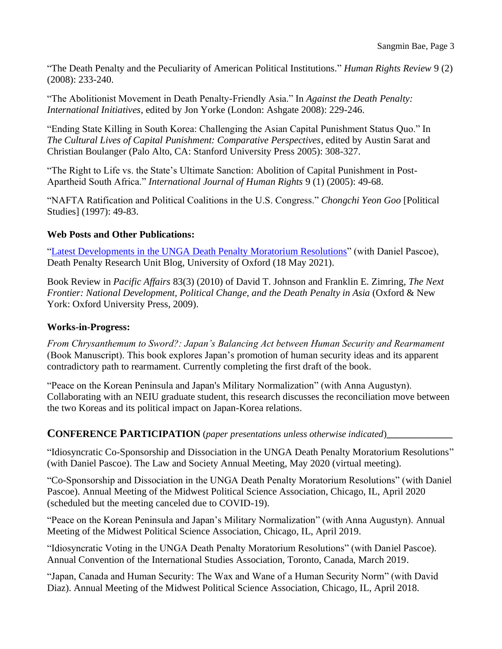"The Death Penalty and the Peculiarity of American Political Institutions." *Human Rights Review* 9 (2) (2008): 233-240.

"The Abolitionist Movement in Death Penalty-Friendly Asia." In *Against the Death Penalty: International Initiatives*, edited by Jon Yorke (London: Ashgate 2008): 229-246.

"Ending State Killing in South Korea: Challenging the Asian Capital Punishment Status Quo." In *The Cultural Lives of Capital Punishment: Comparative Perspectives*, edited by Austin Sarat and Christian Boulanger (Palo Alto, CA: Stanford University Press 2005): 308-327.

"The Right to Life vs. the State's Ultimate Sanction: Abolition of Capital Punishment in Post-Apartheid South Africa." *International Journal of Human Rights* 9 (1) (2005): 49-68.

"NAFTA Ratification and Political Coalitions in the U.S. Congress." *Chongchi Yeon Goo* [Political Studies] (1997): 49-83.

#### **Web Posts and Other Publications:**

["Latest Developments in the UNGA Death Penalty Moratorium Resolutions"](https://www.law.ox.ac.uk/research-and-subject-groups/death-penalty-research-unit/blog/2021/05/latest-developments-unga-death) (with Daniel Pascoe), Death Penalty Research Unit Blog, University of Oxford (18 May 2021).

Book Review in *Pacific Affairs* 83(3) (2010) of David T. Johnson and Franklin E. Zimring, *The Next Frontier: National Development, Political Change, and the Death Penalty in Asia* (Oxford & New York: Oxford University Press, 2009).

#### **Works-in-Progress:**

*From Chrysanthemum to Sword?: Japan's Balancing Act between Human Security and Rearmament* (Book Manuscript). This book explores Japan's promotion of human security ideas and its apparent contradictory path to rearmament. Currently completing the first draft of the book.

"Peace on the Korean Peninsula and Japan's Military Normalization" (with Anna Augustyn). Collaborating with an NEIU graduate student, this research discusses the reconciliation move between the two Koreas and its political impact on Japan-Korea relations.

#### **CONFERENCE PARTICIPATION** (*paper presentations unless otherwise indicated*)**\_\_\_\_\_\_\_\_\_\_\_\_\_\_**

"Idiosyncratic Co-Sponsorship and Dissociation in the UNGA Death Penalty Moratorium Resolutions" (with Daniel Pascoe). The Law and Society Annual Meeting, May 2020 (virtual meeting).

"Co-Sponsorship and Dissociation in the UNGA Death Penalty Moratorium Resolutions" (with Daniel Pascoe). Annual Meeting of the Midwest Political Science Association, Chicago, IL, April 2020 (scheduled but the meeting canceled due to COVID-19).

"Peace on the Korean Peninsula and Japan's Military Normalization" (with Anna Augustyn). Annual Meeting of the Midwest Political Science Association, Chicago, IL, April 2019.

"Idiosyncratic Voting in the UNGA Death Penalty Moratorium Resolutions" (with Daniel Pascoe). Annual Convention of the International Studies Association, Toronto, Canada, March 2019.

"Japan, Canada and Human Security: The Wax and Wane of a Human Security Norm" (with David Diaz). Annual Meeting of the Midwest Political Science Association, Chicago, IL, April 2018.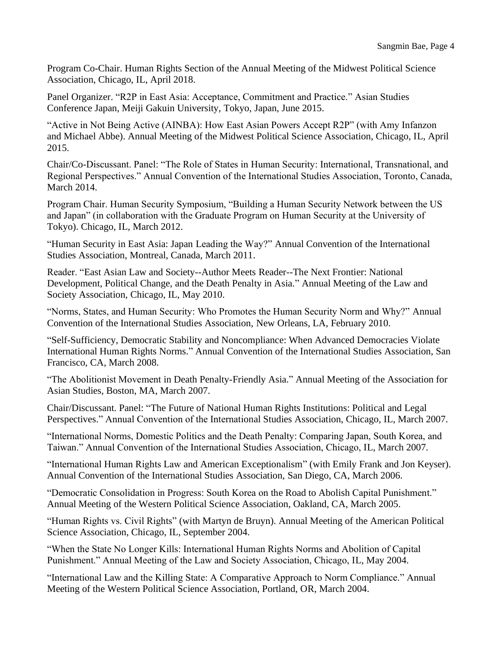Program Co-Chair. Human Rights Section of the Annual Meeting of the Midwest Political Science Association, Chicago, IL, April 2018.

Panel Organizer. "R2P in East Asia: Acceptance, Commitment and Practice." Asian Studies Conference Japan, Meiji Gakuin University, Tokyo, Japan, June 2015.

"Active in Not Being Active (AINBA): How East Asian Powers Accept R2P" (with Amy Infanzon and Michael Abbe). Annual Meeting of the Midwest Political Science Association, Chicago, IL, April 2015.

Chair/Co-Discussant. Panel: "The Role of States in Human Security: International, Transnational, and Regional Perspectives." Annual Convention of the International Studies Association, Toronto, Canada, March 2014.

Program Chair. Human Security Symposium, "Building a Human Security Network between the US and Japan" (in collaboration with the Graduate Program on Human Security at the University of Tokyo). Chicago, IL, March 2012.

"Human Security in East Asia: Japan Leading the Way?" Annual Convention of the International Studies Association, Montreal, Canada, March 2011.

Reader. "East Asian Law and Society--Author Meets Reader--The Next Frontier: National Development, Political Change, and the Death Penalty in Asia." Annual Meeting of the Law and Society Association, Chicago, IL, May 2010.

"Norms, States, and Human Security: Who Promotes the Human Security Norm and Why?" Annual Convention of the International Studies Association, New Orleans, LA, February 2010.

"Self-Sufficiency, Democratic Stability and Noncompliance: When Advanced Democracies Violate International Human Rights Norms." Annual Convention of the International Studies Association, San Francisco, CA, March 2008.

"The Abolitionist Movement in Death Penalty-Friendly Asia." Annual Meeting of the Association for Asian Studies, Boston, MA, March 2007.

Chair/Discussant. Panel: "The Future of National Human Rights Institutions: Political and Legal Perspectives." Annual Convention of the International Studies Association, Chicago, IL, March 2007.

"International Norms, Domestic Politics and the Death Penalty: Comparing Japan, South Korea, and Taiwan." Annual Convention of the International Studies Association, Chicago, IL, March 2007.

"International Human Rights Law and American Exceptionalism" (with Emily Frank and Jon Keyser). Annual Convention of the International Studies Association, San Diego, CA, March 2006.

"Democratic Consolidation in Progress: South Korea on the Road to Abolish Capital Punishment." Annual Meeting of the Western Political Science Association, Oakland, CA, March 2005.

"Human Rights vs. Civil Rights" (with Martyn de Bruyn). Annual Meeting of the American Political Science Association, Chicago, IL, September 2004.

"When the State No Longer Kills: International Human Rights Norms and Abolition of Capital Punishment." Annual Meeting of the Law and Society Association, Chicago, IL, May 2004.

"International Law and the Killing State: A Comparative Approach to Norm Compliance." Annual Meeting of the Western Political Science Association, Portland, OR, March 2004.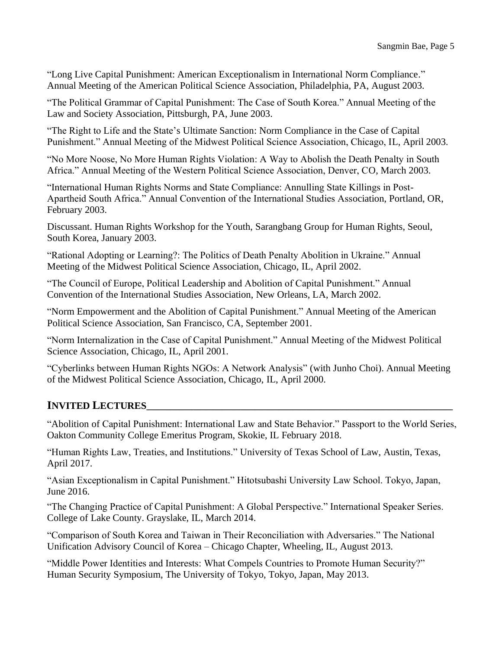"Long Live Capital Punishment: American Exceptionalism in International Norm Compliance." Annual Meeting of the American Political Science Association, Philadelphia, PA, August 2003.

"The Political Grammar of Capital Punishment: The Case of South Korea." Annual Meeting of the Law and Society Association, Pittsburgh, PA, June 2003.

"The Right to Life and the State's Ultimate Sanction: Norm Compliance in the Case of Capital Punishment." Annual Meeting of the Midwest Political Science Association, Chicago, IL, April 2003.

"No More Noose, No More Human Rights Violation: A Way to Abolish the Death Penalty in South Africa." Annual Meeting of the Western Political Science Association, Denver, CO, March 2003.

"International Human Rights Norms and State Compliance: Annulling State Killings in Post-Apartheid South Africa." Annual Convention of the International Studies Association, Portland, OR, February 2003.

Discussant. Human Rights Workshop for the Youth, Sarangbang Group for Human Rights, Seoul, South Korea, January 2003.

"Rational Adopting or Learning?: The Politics of Death Penalty Abolition in Ukraine." Annual Meeting of the Midwest Political Science Association, Chicago, IL, April 2002.

"The Council of Europe, Political Leadership and Abolition of Capital Punishment." Annual Convention of the International Studies Association, New Orleans, LA, March 2002.

"Norm Empowerment and the Abolition of Capital Punishment." Annual Meeting of the American Political Science Association, San Francisco, CA, September 2001.

"Norm Internalization in the Case of Capital Punishment." Annual Meeting of the Midwest Political Science Association, Chicago, IL, April 2001.

"Cyberlinks between Human Rights NGOs: A Network Analysis" (with Junho Choi). Annual Meeting of the Midwest Political Science Association, Chicago, IL, April 2000.

# **INVITED LECTURES\_\_\_\_\_\_\_\_\_\_\_\_\_\_\_\_\_\_\_\_\_\_\_\_\_\_\_\_\_\_\_\_\_\_\_\_\_\_\_\_\_\_\_\_\_\_\_\_\_\_\_\_\_\_\_\_\_\_\_\_\_\_\_\_\_**

"Abolition of Capital Punishment: International Law and State Behavior." Passport to the World Series, Oakton Community College Emeritus Program, Skokie, IL February 2018.

"Human Rights Law, Treaties, and Institutions." University of Texas School of Law, Austin, Texas, April 2017.

"Asian Exceptionalism in Capital Punishment." Hitotsubashi University Law School. Tokyo, Japan, June 2016.

"The Changing Practice of Capital Punishment: A Global Perspective." International Speaker Series. College of Lake County. Grayslake, IL, March 2014.

"Comparison of South Korea and Taiwan in Their Reconciliation with Adversaries." The National Unification Advisory Council of Korea – Chicago Chapter, Wheeling, IL, August 2013.

"Middle Power Identities and Interests: What Compels Countries to Promote Human Security?" Human Security Symposium, The University of Tokyo, Tokyo, Japan, May 2013.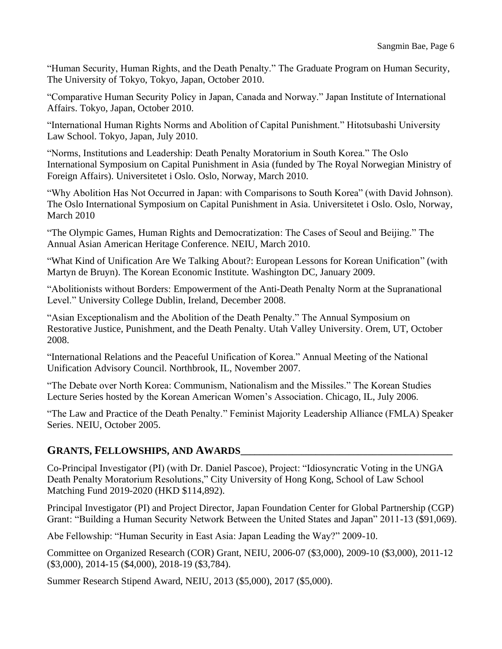"Human Security, Human Rights, and the Death Penalty." The Graduate Program on Human Security, The University of Tokyo, Tokyo, Japan, October 2010.

"Comparative Human Security Policy in Japan, Canada and Norway." Japan Institute of International Affairs. Tokyo, Japan, October 2010.

"International Human Rights Norms and Abolition of Capital Punishment." Hitotsubashi University Law School. Tokyo, Japan, July 2010.

"Norms, Institutions and Leadership: Death Penalty Moratorium in South Korea." The Oslo International Symposium on Capital Punishment in Asia (funded by The Royal Norwegian Ministry of Foreign Affairs). Universitetet i Oslo. Oslo, Norway, March 2010.

"Why Abolition Has Not Occurred in Japan: with Comparisons to South Korea" (with David Johnson). The Oslo International Symposium on Capital Punishment in Asia. Universitetet i Oslo. Oslo, Norway, March 2010

"The Olympic Games, Human Rights and Democratization: The Cases of Seoul and Beijing." The Annual Asian American Heritage Conference. NEIU, March 2010.

"What Kind of Unification Are We Talking About?: European Lessons for Korean Unification" (with Martyn de Bruyn). The Korean Economic Institute. Washington DC, January 2009. Î

"Abolitionists without Borders: Empowerment of the Anti-Death Penalty Norm at the Supranational Level." University College Dublin, Ireland, December 2008.

"Asian Exceptionalism and the Abolition of the Death Penalty." The Annual Symposium on Restorative Justice, Punishment, and the Death Penalty. Utah Valley University. Orem, UT, October 2008.

"International Relations and the Peaceful Unification of Korea." Annual Meeting of the National Unification Advisory Council. Northbrook, IL, November 2007.

"The Debate over North Korea: Communism, Nationalism and the Missiles." The Korean Studies Lecture Series hosted by the Korean American Women's Association. Chicago, IL, July 2006.

"The Law and Practice of the Death Penalty." Feminist Majority Leadership Alliance (FMLA) Speaker Series. NEIU, October 2005.

# **GRANTS, FELLOWSHIPS, AND AWARDS\_\_\_\_\_\_\_\_\_\_\_\_\_\_\_\_\_\_\_\_\_\_\_\_\_\_\_\_\_\_\_\_\_\_\_\_\_\_\_\_\_\_\_\_\_**

Co-Principal Investigator (PI) (with Dr. Daniel Pascoe), Project: "Idiosyncratic Voting in the UNGA Death Penalty Moratorium Resolutions," City University of Hong Kong, School of Law School Matching Fund 2019-2020 (HKD \$114,892).

Principal Investigator (PI) and Project Director, Japan Foundation Center for Global Partnership (CGP) Grant: "Building a Human Security Network Between the United States and Japan" 2011-13 (\$91,069).

Abe Fellowship: "Human Security in East Asia: Japan Leading the Way?" 2009-10.

Committee on Organized Research (COR) Grant, NEIU, 2006-07 (\$3,000), 2009-10 (\$3,000), 2011-12 (\$3,000), 2014-15 (\$4,000), 2018-19 (\$3,784).

Summer Research Stipend Award, NEIU, 2013 (\$5,000), 2017 (\$5,000).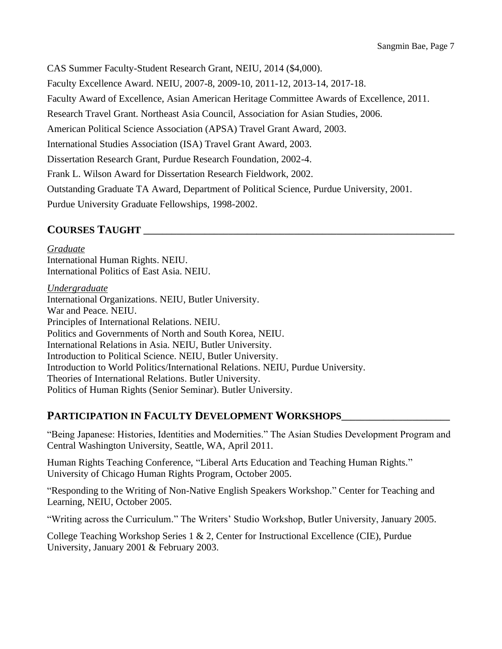CAS Summer Faculty-Student Research Grant, NEIU, 2014 (\$4,000). Faculty Excellence Award. NEIU, 2007-8, 2009-10, 2011-12, 2013-14, 2017-18. Faculty Award of Excellence, Asian American Heritage Committee Awards of Excellence, 2011. Research Travel Grant. Northeast Asia Council, Association for Asian Studies, 2006. American Political Science Association (APSA) Travel Grant Award, 2003. International Studies Association (ISA) Travel Grant Award, 2003. Dissertation Research Grant, Purdue Research Foundation, 2002-4. Frank L. Wilson Award for Dissertation Research Fieldwork, 2002. Outstanding Graduate TA Award, Department of Political Science, Purdue University, 2001. Purdue University Graduate Fellowships, 1998-2002.

# **COURSES TAUGHT \_\_\_\_\_\_\_\_\_\_\_\_\_\_\_\_\_\_\_\_\_\_\_\_\_\_\_\_\_\_\_\_\_\_\_\_\_\_\_\_\_\_\_\_\_\_\_\_\_\_\_\_\_\_\_\_\_\_\_\_\_\_\_\_\_\_**

*Graduate* International Human Rights. NEIU. International Politics of East Asia. NEIU.

*Undergraduate* International Organizations. NEIU, Butler University. War and Peace. NEIU. Principles of International Relations. NEIU. Politics and Governments of North and South Korea, NEIU. International Relations in Asia. NEIU, Butler University. Introduction to Political Science. NEIU, Butler University. Introduction to World Politics/International Relations. NEIU, Purdue University. Theories of International Relations. Butler University. Politics of Human Rights (Senior Seminar). Butler University.

# **PARTICIPATION IN FACULTY DEVELOPMENT WORKSHOPS\_\_\_\_\_\_\_\_\_\_\_\_\_\_\_\_\_\_\_\_\_\_\_**

"Being Japanese: Histories, Identities and Modernities." The Asian Studies Development Program and Central Washington University, Seattle, WA, April 2011.

Human Rights Teaching Conference, "Liberal Arts Education and Teaching Human Rights." University of Chicago Human Rights Program, October 2005.

"Responding to the Writing of Non-Native English Speakers Workshop." Center for Teaching and Learning, NEIU, October 2005.

"Writing across the Curriculum." The Writers' Studio Workshop, Butler University, January 2005.

College Teaching Workshop Series 1 & 2, Center for Instructional Excellence (CIE), Purdue University, January 2001 & February 2003.